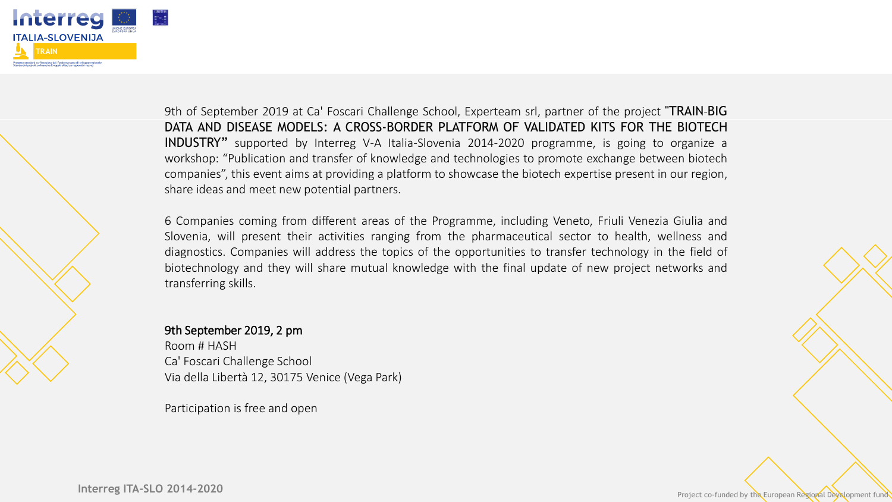



9th of September 2019 at Ca' Foscari Challenge School, Experteam srl, partner of the project "TRAIN-BIG DATA AND DISEASE MODELS: A CROSS-BORDER PLATFORM OF VALIDATED KITS FOR THE BIOTECH INDUSTRY" supported by Interreg V-A Italia-Slovenia 2014-2020 programme, is going to organize a workshop: "Publication and transfer of knowledge and technologies to promote exchange between biotech companies", this event aims at providing a platform to showcase the biotech expertise present in our region, share ideas and meet new potential partners.

6 Companies coming from different areas of the Programme, including Veneto, Friuli Venezia Giulia and Slovenia, will present their activities ranging from the pharmaceutical sector to health, wellness and diagnostics. Companies will address the topics of the opportunities to transfer technology in the field of biotechnology and they will share mutual knowledge with the final update of new project networks and transferring skills.

## 9th September 2019, 2 pm

Room # HASH Ca' Foscari Challenge School Via della Libertà 12, 30175 Venice (Vega Park)

Participation is free and open